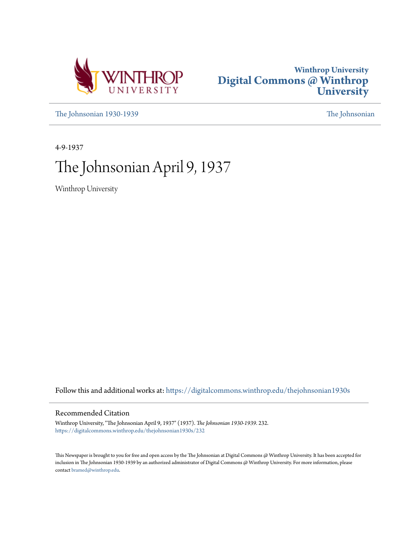



[The Johnsonian 1930-1939](https://digitalcommons.winthrop.edu/thejohnsonian1930s?utm_source=digitalcommons.winthrop.edu%2Fthejohnsonian1930s%2F232&utm_medium=PDF&utm_campaign=PDFCoverPages) [The Johnsonian](https://digitalcommons.winthrop.edu/thejohnsonian_newspaper?utm_source=digitalcommons.winthrop.edu%2Fthejohnsonian1930s%2F232&utm_medium=PDF&utm_campaign=PDFCoverPages)

4-9-1937

# The Johnsonian April 9, 1937

Winthrop University

Follow this and additional works at: [https://digitalcommons.winthrop.edu/thejohnsonian1930s](https://digitalcommons.winthrop.edu/thejohnsonian1930s?utm_source=digitalcommons.winthrop.edu%2Fthejohnsonian1930s%2F232&utm_medium=PDF&utm_campaign=PDFCoverPages)

# Recommended Citation

Winthrop University, "The Johnsonian April 9, 1937" (1937). *The Johnsonian 1930-1939*. 232. [https://digitalcommons.winthrop.edu/thejohnsonian1930s/232](https://digitalcommons.winthrop.edu/thejohnsonian1930s/232?utm_source=digitalcommons.winthrop.edu%2Fthejohnsonian1930s%2F232&utm_medium=PDF&utm_campaign=PDFCoverPages)

This Newspaper is brought to you for free and open access by the The Johnsonian at Digital Commons @ Winthrop University. It has been accepted for inclusion in The Johnsonian 1930-1939 by an authorized administrator of Digital Commons @ Winthrop University. For more information, please contact [bramed@winthrop.edu](mailto:bramed@winthrop.edu).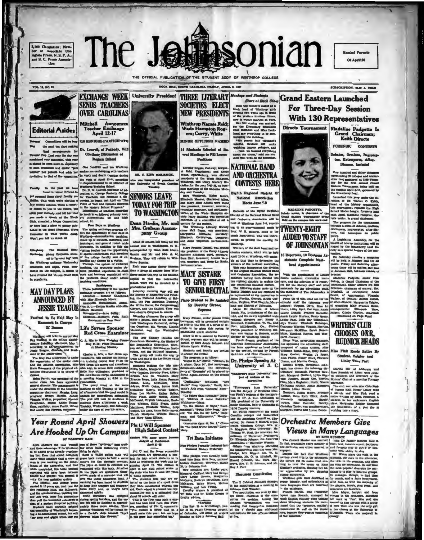2,100 Circulation; Member<br>ber of Amociate Collegiate Press, N. S. P. A.,<br>and S. C. Press Amocia-

**Editorial Asides** 

the next ten days maki

final arrangements for<br>the Day. Last year the day was<br>tered very successful. This year<br>uid be even more so, exceptally

considered very successful, This year<br>at should be even more so, especially<br>if each freshman and center "gets<br>behind" her persons and adds her<br>invitation to that of the committee

es vill be bug

**VOL. 14, NO. 23** 

**CONTRACTOR** 

the : **Fasonian** 

ROCK HILL, BOUTH CAROLINA, PRIDAY, APRIL 8, 1937

THE OFFICIAL PUBLICATION OF THE STUDENT BODY OF WINTHROP COLLEGE

**SOCIETIES ELECT** 

**NEW PRESIDENTS** 

Winthrop Names Reid;<br>Wade Hampton Rog-<br>ers; Curry, White

**MINOR OFFICERS NAMED** 

14 Students Selected at Re

cent Mostings to Fill Lesser<br>Pedilons

THREE LITERARY Monkeys and Students

 $\label{eq:2.1} \begin{tabular}{l|c|c|c} \hline & Birare at Baceh & Other \\ \hline & Birare at a molecule as a fixed with a force of the target is equal to the surface. In fact, the set is a product between clusters of the state is not less than the area. The set is a positive at a time. In this case, the set is not a positive constant. The set is a semideting the model, the model is not always. We perform a solution, it is is not always a solution. In this case, the set is not always a solution, it is not not always not always not always not always not always not always not not. In this case, it is not not be necessary. In this case, it is not not be necessary. In this case, it is not not not not not not not not not not not not not not not not not not not not not not not not not not not not not not$ 

SUBSCRIPTION, SLOP A TRAN

# **Grand Eastern Launched For Three-Day Session With 130 Representatives**

Directs Tournament Madaline Padgette Is<br>Grand Chairman; Keith Directs

FORENSIC CONTESTS

Debates, Orations, Im. tus, Extempores, After<br>Dinners, Included

One hundred and thirty delegates<br>representing 22 colleges and universities in the prince at 3:100 Thurs<br>and replaced at 3:50 Thurs and the data of the first annual Channel<br>Bastern Touraneant: being beid on the data for th

the Structure Leading term of the Structure of the Structure of the Structure of the Naturelland of the Structure (Structure of the Structure of the Structure of the Structure of the Structure Projector Apple and Mark and

 $\begin{tabular}{l|c|c|c|c|c} \hline & \multicolumn{3}{c}{\multicolumn{3}{c}{\multicolumn{3}{c}{\multicolumn{3}{c}{\multicolumn{3}{c}{\multicolumn{3}{c}{\multicolumn{3}{c}{\multicolumn{3}{c}{\multicolumn{3}{c}{\multicolumn{3}{c}{\multicolumn{3}{c}{\multicolumn{3}{c}{\multicolumn{3}{c}{\multicolumn{3}{c}{\multicolumn{3}{c}{\multicolumn{3}{c}{\multicolumn{3}{c}{\multicolumn{3}{c}{\multicolumn{3}{c}{\multicolumn{3}{c}{\multicolumn{3}{c}{\multicolumn{3}{c}{$ 



Cos humitud and tan Winth<br>seriors are exchanging with teacher and starting with teacher<br>The weight of April 13-17, accorded to Supervisorians of Middle<br>Winthrop Training Scheel.<br>Winthrop Training Scheel.<br>Notice Collinear o

Francesco to use on communes. The system of the system of the system of the system of the system of the system of the system of the system of the system of the system of the system of the system of the system of the syste **SENIORS LEAVE** 

**TODAY FOR TRIP TO WASHINGTON** Dean Hardin, Mr. and<br>Mrs. Graham Accompany Group About 30 seniors left today for the annual tour to Washington,  $D$ ,  $C$ , accompanied by Dann East Glenn Hardin and Mr. and Mrs. A. M.

Peatition of the same of the same of the same of the same of the same of the same of the same of the same of the same of the same of the same of the same of the same of the same of the same of the same of the same of the

MADALINE PADONTTE, Saluda senier, is chairman of the<br>Grand Sastern Teurmanent bein,<br>held on the campus this week-end

# **TWENTY-EIGHT ADDED TO STAFF** OF JOHNSONIAN

18 Reporters, 10 Busine



# 



**EXCHANGE WEEK University President** 

DR. S. RION MAKISSICK, who was insugurated promis<br>the University of South Co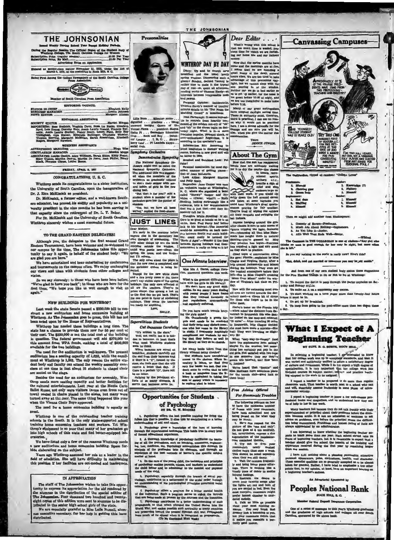

ssion The Official Organ of the S where the \$1.00 Per Tea:<br>\$1.50 Per Tea: ption Price (regular as<br>ption Price, By Mail...

ed as second-class matter November 21, 1923, under the Act March 3, 1870, at the postoffice in Rock Hill, S. C.

Pirst Among the College Newspapers of the Bouth Carolina O

**Communication** 

th Carolina Press As Me

EDITORIAL COUNCIL **EDITOR IN CHIEF...**<br>BUSINESS MANAGER<br>NEWS EDITOR

# **MAL ASSISTANT**

 $\begin{array}{l} \textbf{is} \textbf{sum} \textbf{max}, \dots \textbf{Elim} \textbf{sum} \textbf{max}, \\ \textbf{d} \textbf{y} \textbf{mif} \textbf{d} \dots \textbf{y} \textbf{mif} \textbf{sum} \dots \textbf{y} \textbf{bin} \textbf{y} \\ \textbf{c} \textbf{mif} \textbf{mif} \textbf{sum} \dots \textbf{y} \textbf{mif} \textbf{a} \textbf{lim} \textbf{y} \\ \textbf{b} \textbf{b} \textbf{d} \textbf{d} \textbf{P} \textbf{f} \dots \textbf{y} \textbf$ **ETY EDITOR** wear Entrich Steater (Wighth David Rose, New York Rose, Derick Rose, Derothy Half, Annie Lauris<br>Epyd, Lois Young, Derothy Half, Annie Lauris<br>Cele, Annie Lauris<br>Tillinghaat, Alya Runter, Elitabeth Ballenger<br>Wighth Berring, La Hucki<br>Jonald, Pr

BUSINESS ASSISTANTS CIT.ATION MANAGER SOCIATES: Louise Oaston, Alice Williamy Oaston, Mary Oaston, Alice Williams imon, Sarah Shine, Kitty P<br>ha Jo Jones, Jean Phifer, b

# FRIDAY, APRIL 8, 182

# CONGRATULATIONS, U. S. C.

Winthrop sends its congratulations to a sister institution the University of South Carolina, upon the inauguration of<br>Dr. J. Rion McKissick as president.

Dr. McKissick, a forn er editor, and a weil-known South Dr. Mchassica, a rormer euror, and a well-known Southern educator, has proved his ability and popularity as a university president in the nine months he has been serving in

that capacity since the retirement of Dr. L. T. Baker.<br>For Dr. McKissick and the University of South Carolin Winthrop sincerely wishes a most successful future

TO THE GRAND EASTERN DELEGATES!<br>
To sail any one to be discussed and the memoir before Although you, the delegates to the first annual Grand even though it detections. The Statern Tournament, have been welcome and re-welc

Les we not interest the state Senset passes a \$530,000 bill to construct a new auditorium and home economics building at Winkhrop. As The Johanonian goes to press, this bill has not been acted upon by the House of Represe

**Example 20** out ter two outlidings.<br>The need for the and<br>differium has a scaling capacity of 1,830, while the enroll ment at Wink<br>hrop is 1,333. The only reason the entire student body and faculty can at<br>tend the weekly

Besides the need for an auditorium for assembly, Winthrop needs more seating capacity and better facilities for the cultural entertainments. Last year at the Monte Carlo the causum entertainments. Lest year at use mouse carrier and the Ballet Russe, not only were visitors (acme even from out of town) seated in charles placed in the ailes, but many were virtued away at this door. The same t

tics bulld The need for a home ec ling is e

Winthrop is one of the outsta unding teacher trai value of the South. It is the only state-supported schools in the South. It is the only state-supported schools training home economics teachers and workers. Yet Winters the poor that many of her graduates fit in the funct

oratories.<br>We have listed only a few of the reasons Winthrop need<br>a new auditorium and home economics building. Space for<br>bids elaborating on the subject.

Next ago Winthrop assumed her role as a leader in the Years ago Winthrop assumed her role as a leader in the field of education. She will have difficulty in maintaining this position. She will have difficulty in maintainin

IN APPRECIATION

The staff of The Johnsonian wishes to take this opportunity to express its appreciation for the air rendered by the situation of the situation of the special edition of the Johnsonian. Four thousand two hundred and twenty The Jonasonian, Four thousand two hundred and twenty<br>eight copies of this elliton were sent to alumnes to be dis<br>Cributed to the senior high school girls of the state.<br>We are especially grateful to Miss Lella Russell, alum



**Presonalities** 

Lilla Bush . . . Ellenton senior .

**Sumphony Orchestra** 

L

ing hall ining hall.<br>"But that is for you!" said a<br>"when t when a member of the

near<br>Ti'i

onstrates Sy

Demonstrates apmptent<br>The Mational Symphony Orbital the chiests might well be called the<br>chastra might well be called the<br>The additional little was suggested<br>when the members of the conduct of the conduction of<br>the call th

ut when a membe<br>stra gave her the p

Yes, but we have all b<br>rved," replied the food-sha

**JUST LINES** 

**BALLS** 

erstitious Student

Crif Sintenburg Coreful and Critical Critical Critical Critical Critical Critical Critical Critical Critical Critical Critical Critical Critical Critical Critical Critical Critical Critical Critical Critical Critical Criti

ow no letter.<br>Judging by the pensitent of<br>forts of so many sindents, it<br>seems that banks never lie.

2. Psychology gives a know<br>srough the experimental techniq

on norma summanus experience.<br>
2. A therough knowledge of psycholog<br>
leg of all the prohesion, such as teaching<br>
leg int, medicine, such as teaching<br>
managent of the profession facts the demonstration of the<br>
managent of t

 $^{\prime}$  4. In the care of the young child, the technique of psychology embles parents, numes, and teacher by the child hetter and to edminister to the ment needs of the child.

5. Paychology, especially through the branch of eocusionlegy, contributes to a bettermant of the scrial order than understanding of the paychological principles governing

retaillean.<br>A approximation a pregram for a better memial bealth<br>that are behindred. For the infinite fluctuation is specifically that are behind<br>made at present by the neurons and the inneration of range<br>of the behindle

**Cut Bananas Careful** 

Sleep Dear Editor . . . . What's wrong with this school is<br>that too much time is wasted, pre-<br>clous time for which we are forfeit-<br>ing our home life and our fathers'

money.<br>Now that the spring mo<br>come and the mornings a **WINTHROP DAY BY DAY WIRTHEOUT DAT DE TORT INTERFERENCE IN THE CONSUMERED IN THE DESCRIPTION OF DESCRIPTION OF DEVICE AND SERVER IN THE DESCRIPTION OF DESCRIPTION (THE DESCRIPTION OF DESCRIPTION) (THE DESCRIPTION OF DESCRIPTION OF DESCRIPTIO** mines are at five

intervale between irrepressible node<br> $\frac{1}{2}$  and present intervale conduction in the mean opinion: Include<br>relative means the mean of the mean of the mean of the mean of the<br>station of the mean include the mean of the c before 7:30. our great metropolises<br>Many adoptic daylight awing time. There adopted daylight awing time<br>(Those in authority nust, therefore, this precised by the<br>state of the precised on why it would not be practical<br>henc

Information Bit: According to rooms, business is now good and will<br>be better in 1929. **About The Gym** 

Brushed and Scrubbed Look: Pal Fermual nomination for most Look: Pal<br>
nifled manner of gwiting places<br>
Look Alikes: Margaret Bianton<br>
Look Alikes: Margaret Bianton<br>
Margaret Bianton<br>
Margaret Bianton<br>
In Argaret Bianton<br>
University Cooper was once<br>
un

at she is just the

to the ventory is to<br>
very few books<br>
dents seems<br>
a book

**dige** of the laws of **internal control** 

heat Abda

ments, and il

**Opportunities for Students** 

of Psychology

1. Paychology offers the best possible training for itving the fullest life that is possible. It also this by contributing to a bette understanding of soil and others.

 $\mathbf{r}$ 

**No** 

with their work. If you w softly down the hal at some<br>winning of some<br>winning for<br>They're tired of wipter<br>of their racquets<br>bat indoors listen at some in p's gr Troughts While Strolling: If Mr.<br>Tore is as good at tennis as he is at<br>ricin, then Fred Perry had better<br>ook to his laurels!--The immortal

Thoughts While Stretling: If Mr. of their receptes and swinging the years at terms in the last is a set of the state of the state of the gas of the state of the state of the state of the state of the state of the state of would-be automobile on back cannot be<br>put between fields and main build<br>ing, could easily be termed the<br>"Rotk of Ages",--Wonder if the time<br>between Spring holidays and Com<br>mencement is really as long as it is

Yours.<br>JENNIE JUNIOR

 $e<sub>t</sub>$ 

breathe a sigh of

of the sun h

and reprisely enforced. Other meets, the terms were two torput to be in the most and reprisely enforced. Here  $\sim$  when a start of the most control of the place of the place of the start of the start of the start of the s

Using without buting checker<br>  $\gamma$  unr statements have unregimeted access to the abetwee. When investory is taken, we find the<br>
very frew beside are bud. Our statements of the state<br>
dents are bud. Our statements of reali

We've heard that "S<br>Miss Hoffman have amb<br>I for the tennis club-go

## Free Advice Offeres For Roommate Tro

The follow The following pointern can be<br>a below to have the minimum number of funera with your roomanaties have been automotical and a<br>many be worth: <br>many be worth: <br>many be worth: <br>passed on for what they many be worth: <br>flager d era on 1

2 Try more than ones a week<br>clothes more than ones a week<br>This ahould be noted aspectably<br>The ahould be noted aspectably<br>3. Visit the canders frequently<br>17 and bring home puese offers the timely piece of candy to soothing<br> injured feelings.<br>4. Restrain the de

t. Eustram the course of the contract of the lights art out and both you are settled in bed. Even if

you are usuant in ted, fiven in<br>most receptive roommate might prefer homest alumber to murder<br>derived medicidy.<br>4. Talk as little as possible about your meat estiting reposite<br>hour room, one is seen and estiting reception  $m \geq 0$ akes you n



ъ.

| . Elizabeth        |  |  |                | 1. Knowledge (?)  |  |
|--------------------|--|--|----------------|-------------------|--|
| . Chewing gum      |  |  |                | 3. Flattery       |  |
| <b>Cross hole</b>  |  |  |                | 1. Elmosolf       |  |
| <b>DESCRIPTION</b> |  |  | <b>Bepler:</b> |                   |  |
| . Het dags         |  |  |                | 1. Himself        |  |
| . Bluffing         |  |  |                | 3. Himself        |  |
| <b>Silvers</b>     |  |  |                | 2. <b>Mimesit</b> |  |

- 
- 
- 

نا**ری** <del>ر</del>اها

"Eat, detail, and out married or temerrow you may be old maids.

- And from one of our own student hody comes<br>r the Five Hardest Things to the or Not to Do at Wi
- ). To control the derive to peep through the parlor keyholes on  $k$  day and Sunday nights.

1. To make an A on a so medly spay co

- more than
- 3. To start working on a term paper

To get up for × 8. To keep from going to the post-(floe more than two dosen t

# What I Expect of A

# **Beginning Teacher**

BY SUPT. R. O. BURTS, ROOK HILL.

In selecting a beginning teacher, I awaited to know that her collegs work was up to acceptable standard, and that it was varied and autificiently unified to selected as a statement of degree application, it is very import

I supert a teacher to be prepared to do relationships that the character is worth most to and will, sheartfully assume leadership in some corrientals **BOUL 10 A 1** 

I supect a beginning teacher to know a few mional books and magazines, and to understand of help to her in her work.

bes samp to Lux and see weak.<br>
Distributed fail because they do not<br>
paraized and or principal about their prop<br>
on becomes ecule. It is not an admission<br>
on problems, eren before the principal<br>
ways appreciated by an admi  $\overline{1}$ 

I am internsted to know whether the beginning<br>cets to teach more than one year. Each school she<br>have of beginning teachers, but it is reasonable to c<br>seaber should give the school the beautil of the paper<br>sperience recolve

I have s.dd nothing about a pleasing personality, at<br>irractional appearance, poles, emituristance, health, and charactic<br>probed as to be almost the gradient state of the state of the state<br>of the gradient character of the



# **Peoples National Bank** BOOK HILL, S. O

r Paderal Denesti I

Cos of a stries of messages to this year's Winkneys<br>and the graduates of high schools and colleges all of<br>Caroline, sporsored by the above bank.



So you say nothing in the world is really new? How's this!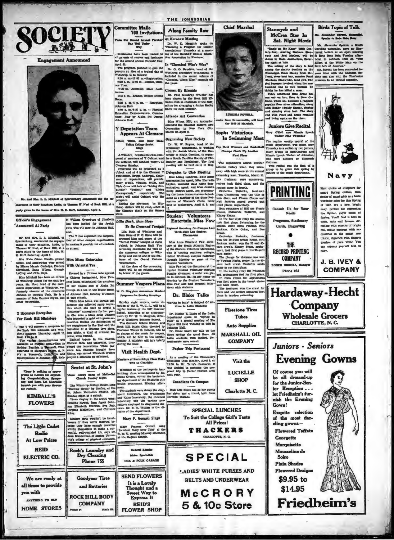

Cheveland, Zeana Wilson, Georgia (1974), Dressed in a Chinese robe against Mass and different and other a Chinese behind and the moment of the commenter and the moment and the moment of the commenter of the commenter of t

 $\hat{p}$ 

И

 $\overline{\mathcal{A}}$ 

There's nothing to appro-<br>price as flowers for expression of Congratulation, dynamics<br>toy, and Love. Let Elembrit's<br>function you with your flowers<br>function

**KIMBALL'S** 

**FLOWERS** 

The Little Cadet

**Radio** 

**At Low Prices** 

**REID** 

**ELECTRIC CO.** 

We are ready at

all times to provide

ANYTHING TO EAT

**HOME STORES** 

vou with

Members of the pathogenic background by Dr.<br>Eloise Oreene, accompanied by Dr.<br>Eloise Oreene, wisted the bacteriol-<br>ogy department of the Charlotte city<br>houtin department Monday after-<br>noon.

Sextet at St. John's

mic Group Sang at Meth<br>Church Sunday Night

lav night at 8 o'clock. Sunday night at 3 o'clock.<br>Those singing in the sexted were:<br>Derothy Stroud, Sam Agnes John-<br>Son, Elizabeth Cothran, Eva Pair,<br>Virginia McKeithen, and Christine

isvenu<br>It. Jol

The Winthrop College Sextet sang<br>Evening Hymn" by Sheiley, at the<br>t. John's Methodist Church last

catey,<br>Modern girls wouldn't be beart-<br>Modern girls wouldn't be beart-<br>cause they have enough resurres<br>within themselves to make a successful, well-rounded life, any britted<br>Cean Mendenhall of Boston Univer-<br>stiy's college

Rock's Laundry and

Dry Cleaning

Phone 755

**Goodyear Tires** 

and Batteries

**ROCK HILL BODY** 

**COMPANY** 

**To Be Crowned Tonight** Lila Bush of Winthrop and<br>lam Moss of N. C. State will be Sam More of N. O. State will be concreted that one of the oriental Posts" to<br>high and queen of the oriental Posts" tolephilon in the oriental The orientation<br> $\mathbf{r}$  and  $\mathbf{r}$  and  $\mathbf{r}$ <br>and  $\mathbf{r}$  and  $\mathbf{r}$  an

**Summer Vespers Plans** 

W. D. Magginis Anno own bissule ta for Sunday Reenings

Sunday night vespers, under di-<br>ection of the Y. W. C. A., will be regular feature of the 1937 Sums Dr. Marion E. Biako of the Latin<br>department spoke on "Byring in Hartin (spattern)" at a special method on "Byring in Hart<br>dignas Phi held Tweday at 4:30 in Johnson Hall, our dignas Phi held Tweday at 4:30 in Dr. Dr., Blak School, according to an announe ment by Dr. W. D. Maggiula, dire ment by Dr. W. D. Margins, director<br>of Winitings Bunner School.<br>The Guamer School Chorus and<br>Rock Hill Music Citub, directed by<br>Professor Walter B. Roberts, will be<br>in charge of the music for vespers, which will be held in

Visit Health Dept.

noon.<br>The students were about the diagnosite holomatory, the Wasserman<br>and Kahn laboratory, the chemical<br>laboratory, and the wardens processes.<br>Codures exployed in diagnosing diseases. Dr. 6. IT, Walton is the di-<br>cases. D

Mary F. Gosnell Sings

Mary Frances Gomell sang<br>"Sweetest Story Ever Told" at the<br>W. M. U. meeting Monday afternoon

**General Renaiss** 

Motor Specialists

COX & POLK CARAGE

**SEND FLOWERS** 

It is a Lovely

Thought and a

**Sweet Way to** 

Express It

**REID'S** 

**FLOWER SHOP** 

way of the dep

w. M. U. meeting must

ern of Bacteriology Clam Ma<br>Trip to Charlotte

Organizing rew corresponds of the paychology department, is working with Dr. Josiah Mora, of the United West of the United Section of the Section of the Section of the Section of the matrice of the paych and Propology and Y Delegates to Club Meeting Delegates to Club Meeting<br>
Matu Long Landrum, state heme<br>
Maturical Landrum, state heme<br>
demonstration agent; hiles Earrietts<br>
Landrum density and the home demonstration<br>
Neely, district agent, are representing<br>
Neely, dis  $\frac{100}{10}$ 

THE JOHNSONIAN

**Along Faculty Row** 

rat microsomw interesting<br>
Thaming a Program for County<br>
Planning a Program for County<br>
Associations" Thursday at a most-<br>ing of the Karshaw County Educa-

ummunewe C<br>Ham in Ra

In "Chemical Who's Who"

Chosen By Kiwanis Dr. Paul Mowbray Wheeler has<br>been chosen by the Rock Hill Ki-<br>wanis Club as chairman of the com-

mittee for arranging a Jun

Attends Arl Convention Miss Wilma Hill, art instructed the National Eastern<br>Experiment in New York<br>March 28-April 3.

**Organizing New Society** 

Art

At Kershaw Meeting

Student Volunteers **Entertain Miss Faw** 

nal Secretary On Campus Las<br>Week-end; Led Student **Discussions** 

Discussions Financia Pier, serecting a material control of the South Atlantic Region of the Southern control of the Student Volumer controllers. We<br>retain the Southern Controller Controller Controller Controller Control<br>a that direction we will come in for the fluctuation of Auction and Markov and Markov and Auction and Auction and Auction and Auction and Auction and Auction and Auction and Auction and Auction and Auction and Auction and A

Miss Paw also had personal inter<br>views with students. Dr. Blake Talks

# Spring in Staly" Is Subject Of Address to Latin Students

Parker Trip Postponed

At a meeting of the Elementary<br>Education Ciub Monday, April 5, at 12:30, in Mr. Terry's classroom, it<br>was decided to postpone the pro-<br>posed trip to Parter District until<br>next year.

Canadians On Campus



**Chief Marshal** 

Sophs Victorians In Swimming Meet

Pen Mest Winners and Ra Champs Chalk Up Another **First Pinee** 

The soph ores ao ed anothe

and separatures seeked avoidered<br>the victory when they away<br>away with high acore at the annua<br>awimming meet, Tuesday, March 23 The freshosen were nunners-un

The freshonen were runners-up,<br>templers and the sense runners-up, and the juniors came in fourth.<br>
Juniors came in fourth.<br>
The state in fourth and contribute the state of the state of the<br>
state of the state of the state

Catherine  $\sim$ Kinsey Evans

In the free style relay the senior took first place, Swim seniora were: Elma Pearson, Neil<br>Jackson, Katle Coker, and Dee Bryan.<br>Cathr

DESEMIN, Asset Control and Level Control and Level Control and Seventhenne was the State of the State of the State of the State of the State of the State of the State of the State of the State of the State of the State of

east once craw".<br>The freshmen won the craw<br>form and the seniors captured<br>place in tandem swimming.



**Auto Supplies MARSHALL OIL** 

**COMPANY** Visit the

**LUCIELLE SHOP** Charlotte N.C.

Miss Lois Black has as her guest<br>her sister and a friend, both from<br>Toronto, Ganada. **SPECIAL LUNCHES** 

> To Suit the College Girl's Taste All Prices!

**THACKERS** CHARLOTTE, N. C.

**SPECIAL LADIES' WHITE PURSES AND** 

**BELTS AND UNDERWEAR** 

McCRORY **5 & 10c Store** 



# McCrea Star In **Sat. Night Movie**

Mr. Alexander Sprunt, a South Hole<br>Carolina naturalist, gave an illustration and the transfer of the Beta Peta Tuesday<br>of Beta Beta Peta Tuesday afternation of the Beta Peta Beta Contribute<br>Effect of the Wittle Man on the Mr.<br>
Anylo on My Hiner" (20th Cen-Carolic<br>
-Fex), starring Barbara Stan-<br>
t and Jed McCrea, will be of Be<br>
ra in Main Anditorium, Satur-noon

when and Josef MacDen will be of Reis Bets. The main of the State of the State and Schwaizer and Schwaizer and Schwaizer and Schwaizer and Schwaizer and Schwaizer and Schwaizer and Schwaizer and Schwaizer and Schwaizer an

# **Juniors Give Recital**

**Mary O'Dell and Minute**<br>Walker Play Thursda de La

The regular weekly reductions of the mass control of the mass control of the mass of the mass of the state of the Minima and Minima between the mass of the mass of the mass of the mass of the mass of the mass of the mass o

Cothran.<br>This recital was the first of a<br>proup to be given this spring by<br>uniors in the music department.

**PRINTING** 

ne 1997. It's a new, require<br>navy, perfect for expressing<br>the lighter, gayer mood of<br>Spring. You'll find it here in coats, suits and dresses. Arresting with accepts of bright red, subtle contrast with acden im the smoot new  $\bullet$ stle, dignified with line touches of pure white. You **THE** can express yourself best in

> J. B. IVEY & **COMPANY**

Navy

Pirst choice of designers for<br>amart Spring clothes, first<br>choice of smart girls as a basic

wardrobe color for this Spring<br>of 1937, It's a new, bright



navy.



Georgette Marquisette Mousseline de Soire

**Plain Shades Flowered Designs** 

\$9.95 to

\$14.95 **Friedheim's** 

傍

**Consult Us for Your** 



**RECORD PRINTING** 

**COMPANY** 

Phone 164



ezander Opruni, Holuc<br>salu io Noia Hola Hola